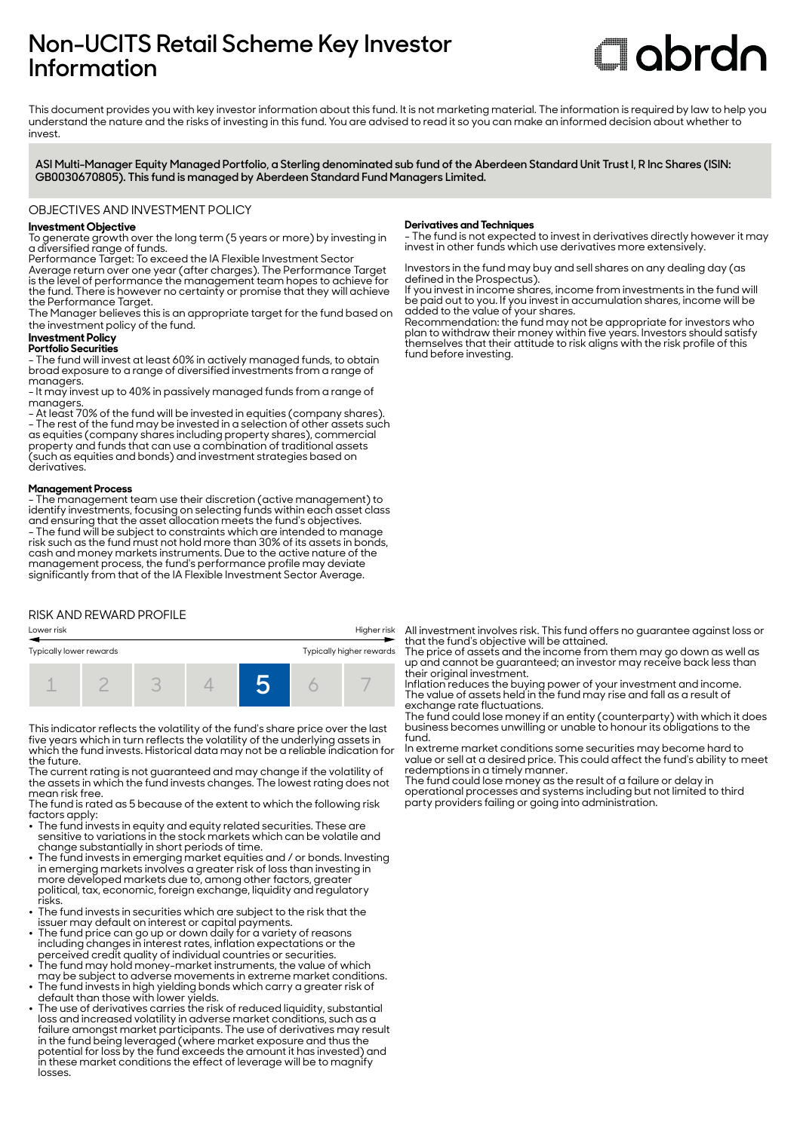# **Non-UCITS Retail Scheme Key Investor Information**

# **C**obrdo

This document provides you with key investor information about this fund. It is not marketing material. The information is required by law to help you understand the nature and the risks of investing in this fund. You are advised to read it so you can make an informed decision about whether to invest

**ASI Multi-Manager Equity Managed Portfolio, a Sterling denominated sub fund of the Aberdeen Standard Unit Trust I, R Inc Shares (ISIN: GB0030670805). This fund is managed by Aberdeen Standard Fund Managers Limited.**

### OBJECTIVES AND INVESTMENT POLICY

# **Investment Objective**

To generate growth over the long term (5 years or more) by investing in a diversified range of funds.

Performance Target: To exceed the IA Flexible Investment Sector

Average return over one year (after charges). The Performance Target is the level of performance the management team hopes to achieve for the fund. There is however no certainty or promise that they will achieve the Performance Target.

The Manager believes this is an appropriate target for the fund based on the investment policy of the fund.

# **Investment Policy**

**Portfolio Securities** - The fund will invest at least 60% in actively managed funds, to obtain broad exposure to a range of diversified investments from a range of managers.

- It may invest up to 40% in passively managed funds from a range of managers.

- At least 70% of the fund will be invested in equities (company shares). - The rest of the fund may be invested in a selection of other assets such as equities (company shares including property shares), commercial property and funds that can use a combination of traditional assets (such as equities and bonds) and investment strategies based on derivatives.

#### **Management Process**

- The management team use their discretion (active management) to identify investments, focusing on selecting funds within each asset class and ensuring that the asset allocation meets the fund's objectives. - The fund will be subject to constraints which are intended to manage risk such as the fund must not hold more than 30% of its assets in bonds, cash and money markets instruments. Due to the active nature of the management process, the fund's performance profile may deviate significantly from that of the IA Flexible Investment Sector Average.

# RISK AND REWARD PROFILE



This indicator reflects the volatility of the fund's share price over the last five years which in turn reflects the volatility of the underlying assets in which the fund invests. Historical data may not be a reliable indication for the future.

The current rating is not guaranteed and may change if the volatility of the assets in which the fund invests changes. The lowest rating does not mean risk free.

The fund is rated as 5 because of the extent to which the following risk factors apply:

- $\bullet~$  The fund invests in equity and equity related securities. These are sensitive to variations in the stock markets which can be volatile and change substantially in short periods of time.
- $\bullet~$  The fund invests in emerging market equities and / or bonds. Investing in emerging markets involves a greater risk of loss than investing in more developed markets due to, among other factors, greater political, tax, economic, foreign exchange, liquidity and regulatory risks.
- The fund invests in securities which are subject to the risk that the
- issuer may default on interest or capital payments. 2 The fund price can go up or down daily for a variety of reasons including changes in interest rates, inflation expectations or the
- perceived credit quality of individual countries or securities. 2 The fund may hold money-market instruments, the value of which may be subject to adverse movements in extreme market conditions. 2 The fund invests in high yielding bonds which carry a greater risk of
- default than those with lower yields. The use of derivatives carries the risk of reduced liquidity, substantial
- loss and increased volatility in adverse market conditions, such as a failure amongst market participants. The use of derivatives may result in the fund being leveraged (where market exposure and thus the potential for loss by the fund exceeds the amount it has invested) and in these market conditions the effect of leverage will be to magnify losses.

#### **Derivatives and Techniques**

- The fund is not expected to invest in derivatives directly however it may invest in other funds which use derivatives more extensively.

Investors in the fund may buy and sell shares on any dealing day (as defined in the Prospectus).

If you invest in income shares, income from investments in the fund will be paid out to you. If you invest in accumulation shares, income will be added to the value of your shares.

Recommendation: the fund may not be appropriate for investors who plan to withdraw their money within five years. Investors should satisfy themselves that their attitude to risk aligns with the risk profile of this fund before investing.

All investment involves risk. This fund offers no guarantee against loss or that the fund's objective will be attained.

The price of assets and the income from them may go down as well as up and cannot be guaranteed; an investor may receive back less than their original investment.

Inflation reduces the buying power of your investment and income. The value of assets held in the fund may rise and fall as a result of exchange rate fluctuations.

The fund could lose money if an entity (counterparty) with which it does business becomes unwilling or unable to honour its obligations to the fund.

In extreme market conditions some securities may become hard to value or sell at a desired price. This could affect the fund's ability to meet redemptions in a timely manner.

The fund could lose money as the result of a failure or delay in operational processes and systems including but not limited to third party providers failing or going into administration.